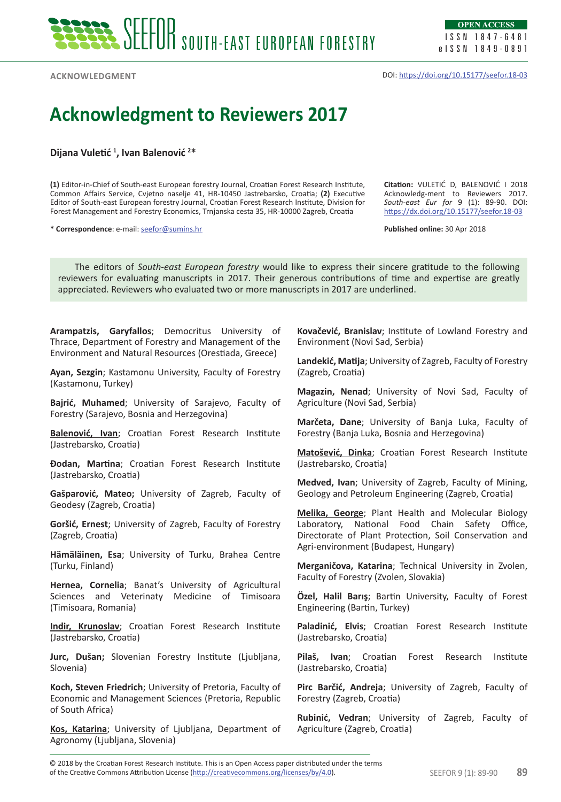

**OPEN ACCESS** ISSN 1847-6481 eISSN 1849-0891

**Acknowledgment**

DOI: <https://doi.org/10.15177/seefor.18-03>

## **Acknowledgment to Reviewers 2017**

**Dijana Vuletić <sup>1</sup> , Ivan Balenović <sup>2</sup> \***

**(1)** Editor-in-Chief of South-east European forestry Journal, Croatian Forest Research Institute, Common Affairs Service, Cvjetno naselje 41, HR-10450 Jastrebarsko, Croatia; **(2)** Executive Editor of South-east European forestry Journal, Croatian Forest Research Institute, Division for Forest Management and Forestry Economics, Trnjanska cesta 35, HR-10000 Zagreb, Croatia

**\* Correspondence**: e-mail: [seefor@sumins.hr](mailto:seefor@sumins.hr)

**Citation:** VULETIĆ D, BALENOVIĆ I 2018 Acknowledg-ment to Reviewers 2017. *South-east Eur for* 9 (1): 89-90. DOI: <https://dx.doi.org/10.15177/seefor.18-03>

**Published online:** 30 Apr 2018

The editors of *South-east European forestry* would like to express their sincere gratitude to the following reviewers for evaluating manuscripts in 2017. Their generous contributions of time and expertise are greatly appreciated. Reviewers who evaluated two or more manuscripts in 2017 are underlined.

**Arampatzis, Garyfallos**; Democritus University of Thrace, Department of Forestry and Management of the Environment and Natural Resources (Orestiada, Greece)

**Ayan, Sezgin**; Kastamonu University, Faculty of Forestry (Kastamonu, Turkey)

**Bajrić, Muhamed**; University of Sarajevo, Faculty of Forestry (Sarajevo, Bosnia and Herzegovina)

**Balenović, Ivan**; Croatian Forest Research Institute (Jastrebarsko, Croatia)

**Đodan, Martina**; Croatian Forest Research Institute (Jastrebarsko, Croatia)

**Gašparović, Mateo;** University of Zagreb, Faculty of Geodesy (Zagreb, Croatia)

**Goršić, Ernest**; University of Zagreb, Faculty of Forestry (Zagreb, Croatia)

**Hämäläinen, Esa**; University of Turku, Brahea Centre (Turku, Finland)

**Hernea, Cornelia**; Banat's University of Agricultural Sciences and Veterinaty Medicine of Timisoara (Timisoara, Romania)

**Indir, Krunoslav**; Croatian Forest Research Institute (Jastrebarsko, Croatia)

**Jurc, Dušan;** Slovenian Forestry Institute (Ljubljana, Slovenia)

**Koch, Steven Friedrich**; University of Pretoria, Faculty of Economic and Management Sciences (Pretoria, Republic of South Africa)

**Kos, Katarina**; University of Ljubljana, Department of Agronomy (Ljubljana, Slovenia)

**Kovačević, Branislav**; Institute of Lowland Forestry and Environment (Novi Sad, Serbia)

**Landekić, Matija**; University of Zagreb, Faculty of Forestry (Zagreb, Croatia)

**Magazin, Nenad**; University of Novi Sad, Faculty of Agriculture (Novi Sad, Serbia)

**Marčeta, Dane**; University of Banja Luka, Faculty of Forestry (Banja Luka, Bosnia and Herzegovina)

**Matošević, Dinka**; Croatian Forest Research Institute (Jastrebarsko, Croatia)

**Medved, Ivan**; University of Zagreb, Faculty of Mining, Geology and Petroleum Engineering (Zagreb, Croatia)

**Melika, George**; Plant Health and Molecular Biology Laboratory, National Food Chain Safety Office, Directorate of Plant Protection, Soil Conservation and Agri-environment (Budapest, Hungary)

**Merganičova, Katarina**; Technical University in Zvolen, Faculty of Forestry (Zvolen, Slovakia)

**Özel, Halil Barış**; Bartin University, Faculty of Forest Engineering (Bartin, Turkey)

**Paladinić, Elvis**; Croatian Forest Research Institute (Jastrebarsko, Croatia)

**Pilaš, Ivan**; Croatian Forest Research Institute (Jastrebarsko, Croatia)

**Pirc Barčić, Andreja**; University of Zagreb, Faculty of Forestry (Zagreb, Croatia)

**Rubinić, Vedran**; University of Zagreb, Faculty of Agriculture (Zagreb, Croatia)

of the Creative Commons Attribution License (http://creativecommons.org/licenses/by/4.0). Same the Creative Commons of the SEEFOR 9 (1): 89-90 **89** © 2018 by the Croatian Forest Research Institute. This is an Open Access paper distributed under the terms